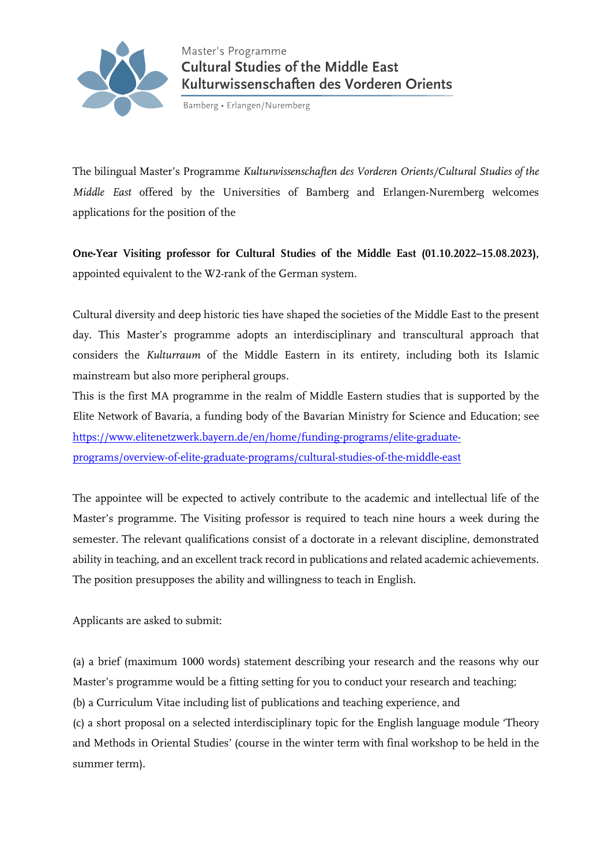

Bamberg • Erlangen/Nuremberg

The bilingual Master's Programme *Kulturwissenschaften des Vorderen Orients/Cultural Studies of the Middle East* offered by the Universities of Bamberg and Erlangen-Nuremberg welcomes applications for the position of the

**One-Year Visiting professor for Cultural Studies of the Middle East (01.10.2022–15.08.2023),**  appointed equivalent to the W2-rank of the German system.

Cultural diversity and deep historic ties have shaped the societies of the Middle East to the present day. This Master's programme adopts an interdisciplinary and transcultural approach that considers the *Kulturraum* of the Middle Eastern in its entirety, including both its Islamic mainstream but also more peripheral groups.

This is the first MA programme in the realm of Middle Eastern studies that is supported by the Elite Network of Bavaria, a funding body of the Bavarian Ministry for Science and Education; see [https://www.elitenetzwerk.bayern.de/en/home/funding-programs/elite-graduate](https://www.elitenetzwerk.bayern.de/en/home/funding-programs/elite-graduate-programs/overview-of-elite-graduate-programs/cultural-studies-of-the-middle-east)[programs/overview-of-elite-graduate-programs/cultural-studies-of-the-middle-east](https://www.elitenetzwerk.bayern.de/en/home/funding-programs/elite-graduate-programs/overview-of-elite-graduate-programs/cultural-studies-of-the-middle-east)

The appointee will be expected to actively contribute to the academic and intellectual life of the Master's programme. The Visiting professor is required to teach nine hours a week during the semester. The relevant qualifications consist of a doctorate in a relevant discipline, demonstrated ability in teaching, and an excellent track record in publications and related academic achievements. The position presupposes the ability and willingness to teach in English.

Applicants are asked to submit:

(a) a brief (maximum 1000 words) statement describing your research and the reasons why our Master's programme would be a fitting setting for you to conduct your research and teaching;

(b) a Curriculum Vitae including list of publications and teaching experience, and

(c) a short proposal on a selected interdisciplinary topic for the English language module 'Theory and Methods in Oriental Studies' (course in the winter term with final workshop to be held in the summer term).